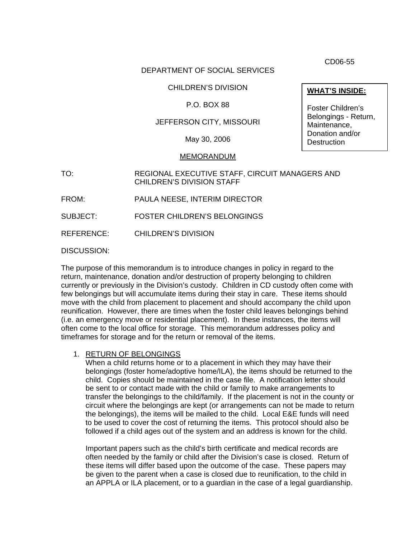CD06-55

# DEPARTMENT OF SOCIAL SERVICES

# CHILDREN'S DIVISION

# P.O. BOX 88

# JEFFERSON CITY, MISSOURI

May 30, 2006

#### MEMORANDUM

TO: REGIONAL EXECUTIVE STAFF, CIRCUIT MANAGERS AND CHILDREN'S DIVISION STAFF

FROM: PAULA NEESE, INTERIM DIRECTOR

SUBJECT: FOSTER CHILDREN'S BELONGINGS

REFERENCE: CHILDREN'S DIVISION

DISCUSSION:

The purpose of this memorandum is to introduce changes in policy in regard to the return, maintenance, donation and/or destruction of property belonging to children currently or previously in the Division's custody. Children in CD custody often come with few belongings but will accumulate items during their stay in care. These items should move with the child from placement to placement and should accompany the child upon reunification. However, there are times when the foster child leaves belongings behind (i.e. an emergency move or residential placement). In these instances, the items will often come to the local office for storage. This memorandum addresses policy and timeframes for storage and for the return or removal of the items.

## 1. RETURN OF BELONGINGS

When a child returns home or to a placement in which they may have their belongings (foster home/adoptive home/ILA), the items should be returned to the child. Copies should be maintained in the case file. A notification letter should be sent to or contact made with the child or family to make arrangements to transfer the belongings to the child/family. If the placement is not in the county or circuit where the belongings are kept (or arrangements can not be made to return the belongings), the items will be mailed to the child. Local E&E funds will need to be used to cover the cost of returning the items. This protocol should also be followed if a child ages out of the system and an address is known for the child.

Important papers such as the child's birth certificate and medical records are often needed by the family or child after the Division's case is closed. Return of these items will differ based upon the outcome of the case. These papers may be given to the parent when a case is closed due to reunification, to the child in an APPLA or ILA placement, or to a guardian in the case of a legal guardianship.

# **WHAT'S INSIDE:**

Foster Children's Belongings - Return, Maintenance, Donation and/or **Destruction**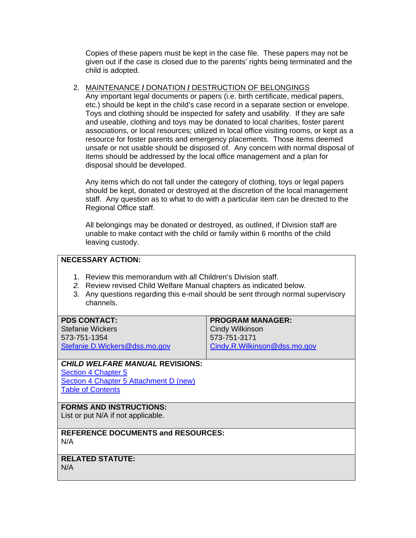Copies of these papers must be kept in the case file. These papers may not be given out if the case is closed due to the parents' rights being terminated and the child is adopted.

# 2. MAINTENANCE **/** DONATION **/** DESTRUCTION OF BELONGINGS

Any important legal documents or papers (i.e. birth certificate, medical papers, etc.) should be kept in the child's case record in a separate section or envelope. Toys and clothing should be inspected for safety and usability. If they are safe and useable, clothing and toys may be donated to local charities, foster parent associations, or local resources; utilized in local office visiting rooms, or kept as a resource for foster parents and emergency placements. Those items deemed unsafe or not usable should be disposed of. Any concern with normal disposal of items should be addressed by the local office management and a plan for disposal should be developed.

Any items which do not fall under the category of clothing, toys or legal papers should be kept, donated or destroyed at the discretion of the local management staff. Any question as to what to do with a particular item can be directed to the Regional Office staff.

All belongings may be donated or destroyed, as outlined, if Division staff are unable to make contact with the child or family within 6 months of the child leaving custody.

# **NECESSARY ACTION:**

- 1. Review this memorandum with all Children's Division staff.
- *2.* Review revised Child Welfare Manual chapters as indicated below.
- 3. Any questions regarding this e-mail should be sent through normal supervisory channels.

## **PDS CONTACT:**

Stefanie Wickers 573-751-1354 [Stefanie.D.Wickers@dss.mo.gov](mailto:Stefanie.D.Wickers@dss.mo.gov) **PROGRAM MANAGER:**  Cindy Wilkinson 573-751-3171 [Cindy.R.Wilkinson@dss.mo.gov](mailto:Cindy.R.Wilkinson@dss.mo.gov)

# *CHILD WELFARE MANUAL* **REVISIONS:**

[Section 4 Chapter 5](http://www.dss.mo.gov/cd/info/cwmanual/section4/ch5/sec4ch5index.htm) [Section 4 Chapter 5 Attachment D \(new\)](http://www.dss.mo.gov/cd/info/cwmanual/section4/ch5/sec4ch5attachd.htm) [Table of Contents](http://www.dss.mo.gov/cd/info/cwmanual/index.htm)

## **FORMS AND INSTRUCTIONS:**

List or put N/A if not applicable.

## **REFERENCE DOCUMENTS and RESOURCES:**  N/A

# **RELATED STATUTE:**

N/A